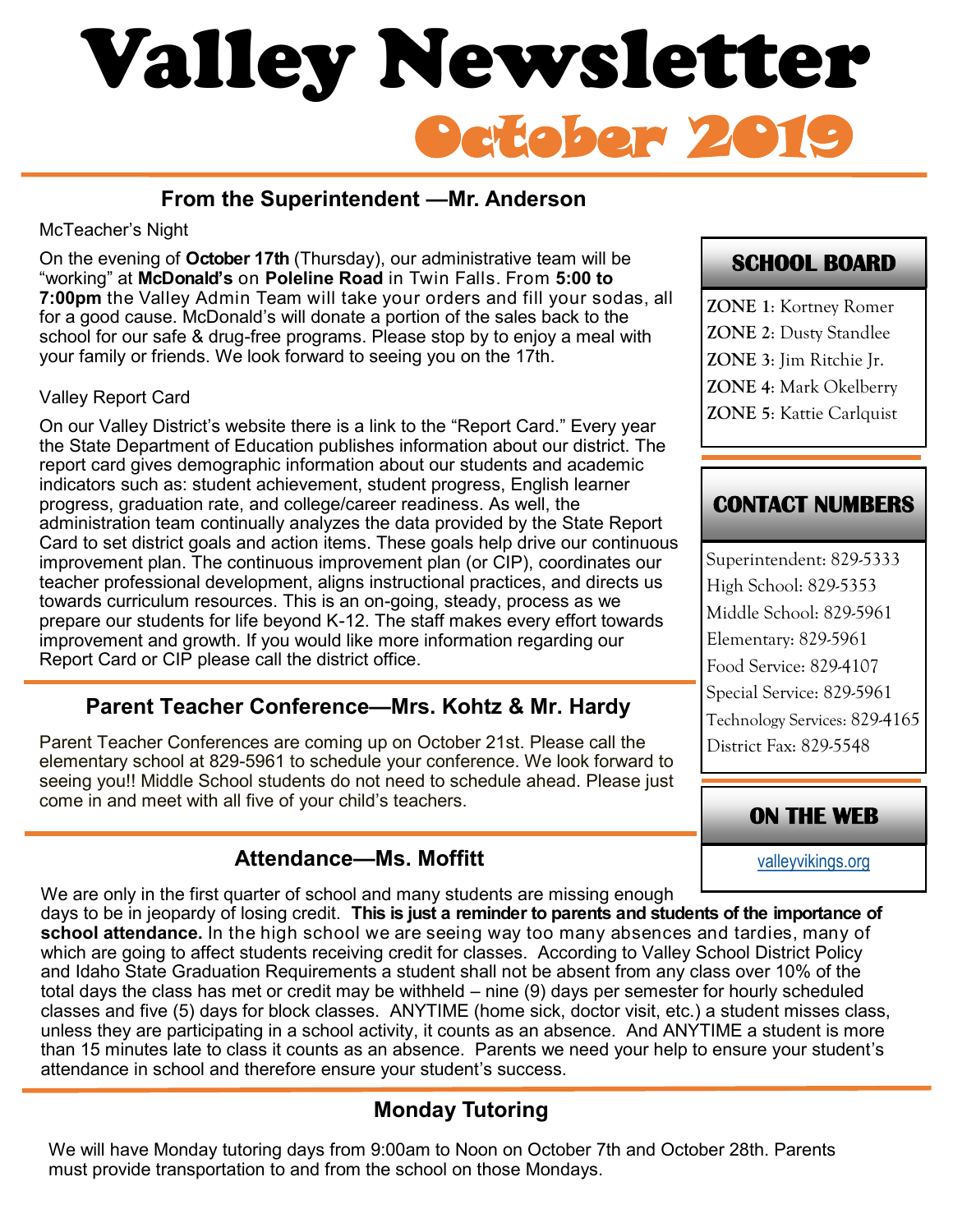# October 2019 Valley Newsletter

# **From the Superintendent —Mr. Anderson**

#### McTeacher's Night

On the evening of **October 17th** (Thursday), our administrative team will be "working" at **McDonald's** on **Poleline Road** in Twin Falls. From **5:00 to 7:00pm** the Valley Admin Team will take your orders and fill your sodas, all for a good cause. McDonald's will donate a portion of the sales back to the school for our safe & drug-free programs. Please stop by to enjoy a meal with your family or friends. We look forward to seeing you on the 17th.

#### Valley Report Card

On our Valley District's website there is a link to the "Report Card." Every year the State Department of Education publishes information about our district. The report card gives demographic information about our students and academic indicators such as: student achievement, student progress, English learner progress, graduation rate, and college/career readiness. As well, the administration team continually analyzes the data provided by the State Report Card to set district goals and action items. These goals help drive our continuous improvement plan. The continuous improvement plan (or CIP), coordinates our teacher professional development, aligns instructional practices, and directs us towards curriculum resources. This is an on-going, steady, process as we prepare our students for life beyond K-12. The staff makes every effort towards improvement and growth. If you would like more information regarding our Report Card or CIP please call the district office.

## **Parent Teacher Conference—Mrs. Kohtz & Mr. Hardy**

Parent Teacher Conferences are coming up on October 21st. Please call the elementary school at 829-5961 to schedule your conference. We look forward to seeing you!! Middle School students do not need to schedule ahead. Please just come in and meet with all five of your child's teachers.

# **Attendance—Ms. Moffitt**

We are only in the first quarter of school and many students are missing enough

days to be in jeopardy of losing credit. **This is just a reminder to parents and students of the importance of school attendance.** In the high school we are seeing way too many absences and tardies, many of which are going to affect students receiving credit for classes. According to Valley School District Policy and Idaho State Graduation Requirements a student shall not be absent from any class over 10% of the total days the class has met or credit may be withheld – nine (9) days per semester for hourly scheduled classes and five (5) days for block classes. ANYTIME (home sick, doctor visit, etc.) a student misses class, unless they are participating in a school activity, it counts as an absence. And ANYTIME a student is more than 15 minutes late to class it counts as an absence. Parents we need your help to ensure your student's attendance in school and therefore ensure your student's success.

# **Monday Tutoring**

We will have Monday tutoring days from 9:00am to Noon on October 7th and October 28th. Parents must provide transportation to and from the school on those Mondays.

# **SCHOOL BOARD**

**ZONE 1**: Kortney Romer **ZONE 2**: Dusty Standlee **ZONE 3**: Jim Ritchie Jr. **ZONE 4**: Mark Okelberry **ZONE 5**: Kattie Carlquist

# **CONTACT NUMBERS**

Superintendent: 829-5333 High School: 829-5353 Middle School: 829-5961 Elementary: 829-5961 Food Service: 829-4107 Special Service: 829-5961 Technology Services: 829-4165 District Fax: 829-5548

# **ON THE WEB**

[valleyvikings.org](http://www.valleyvikings.org/)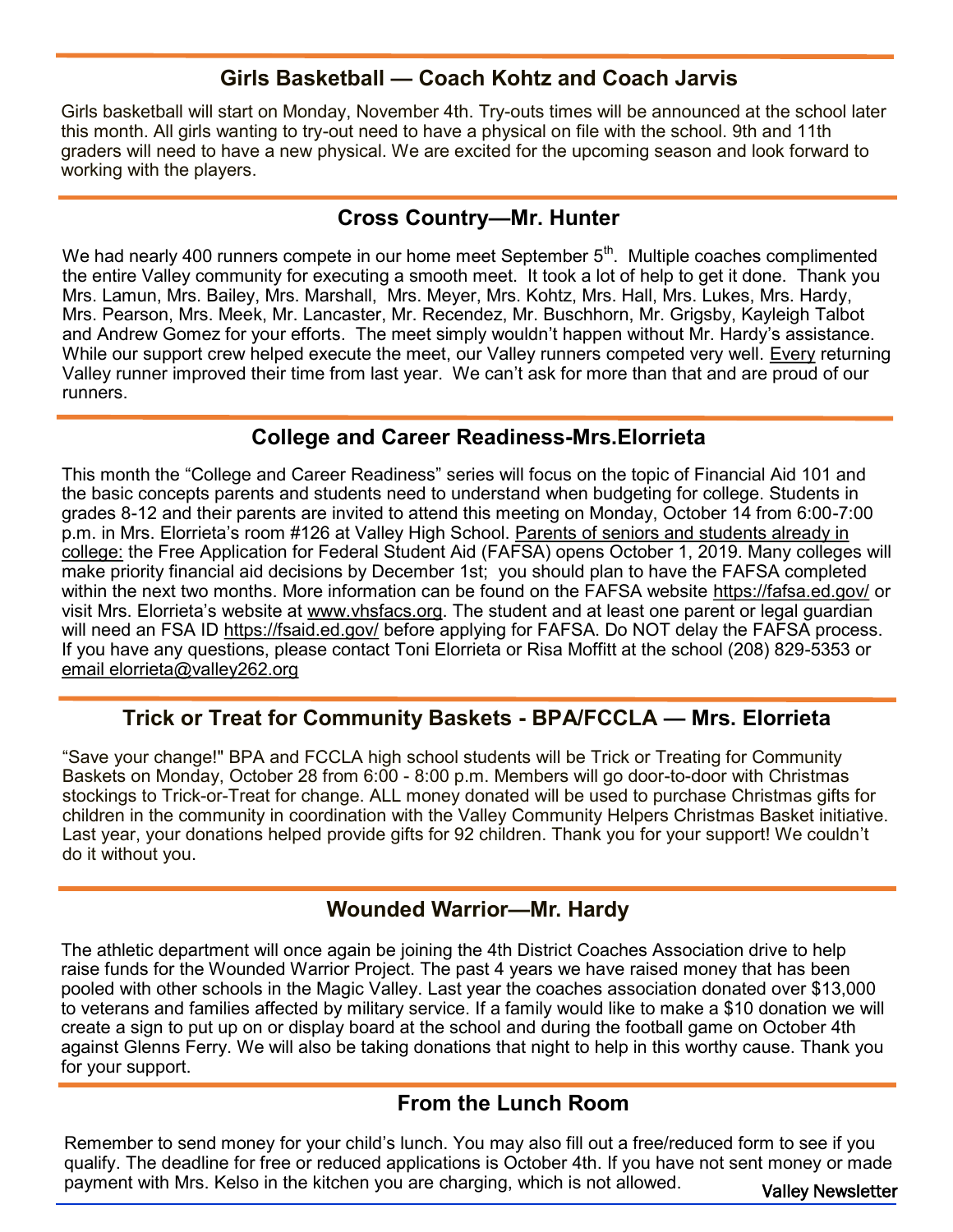## **Girls Basketball — Coach Kohtz and Coach Jarvis**

Girls basketball will start on Monday, November 4th. Try-outs times will be announced at the school later this month. All girls wanting to try-out need to have a physical on file with the school. 9th and 11th graders will need to have a new physical. We are excited for the upcoming season and look forward to working with the players.

#### **Cross Country—Mr. Hunter**

We had nearly 400 runners compete in our home meet September  $5<sup>th</sup>$ . Multiple coaches complimented the entire Valley community for executing a smooth meet. It took a lot of help to get it done. Thank you Mrs. Lamun, Mrs. Bailey, Mrs. Marshall, Mrs. Meyer, Mrs. Kohtz, Mrs. Hall, Mrs. Lukes, Mrs. Hardy, Mrs. Pearson, Mrs. Meek, Mr. Lancaster, Mr. Recendez, Mr. Buschhorn, Mr. Grigsby, Kayleigh Talbot and Andrew Gomez for your efforts. The meet simply wouldn't happen without Mr. Hardy's assistance. While our support crew helped execute the meet, our Valley runners competed very well. Every returning Valley runner improved their time from last year. We can't ask for more than that and are proud of our runners.

#### **College and Career Readiness-Mrs.Elorrieta**

This month the "College and Career Readiness" series will focus on the topic of Financial Aid 101 and the basic concepts parents and students need to understand when budgeting for college. Students in grades 8-12 and their parents are invited to attend this meeting on Monday, October 14 from 6:00-7:00 p.m. in Mrs. Elorrieta's room #126 at Valley High School. Parents of seniors and students already in college: the Free Application for Federal Student Aid (FAFSA) opens October 1, 2019. Many colleges will make priority financial aid decisions by December 1st; you should plan to have the FAFSA completed within the next two months. More information can be found on the FAFSA website <https://fafsa.ed.gov/> or visit Mrs. Elorrieta's website at www.[vhsfacs.org.](http://vhsfacs.org) The student and at least one parent or legal guardian will need an FSA ID <https://fsaid.ed.gov/> before applying for FAFSA. Do NOT delay the FAFSA process. If you have any questions, please contact Toni Elorrieta or Risa Moffitt at the school (208) 829-5353 or [email elorrieta@valley262.org](mailto:elorrieta@valley262.org)

## **Trick or Treat for Community Baskets - BPA/FCCLA — Mrs. Elorrieta**

"Save your change!" BPA and FCCLA high school students will be Trick or Treating for Community Baskets on Monday, October 28 from 6:00 - 8:00 p.m. Members will go door-to-door with Christmas stockings to Trick-or-Treat for change. ALL money donated will be used to purchase Christmas gifts for children in the community in coordination with the Valley Community Helpers Christmas Basket initiative. Last year, your donations helped provide gifts for 92 children. Thank you for your support! We couldn't do it without you.

#### **Wounded Warrior—Mr. Hardy**

The athletic department will once again be joining the 4th District Coaches Association drive to help raise funds for the Wounded Warrior Project. The past 4 years we have raised money that has been pooled with other schools in the Magic Valley. Last year the coaches association donated over \$13,000 to veterans and families affected by military service. If a family would like to make a \$10 donation we will create a sign to put up on or display board at the school and during the football game on October 4th against Glenns Ferry. We will also be taking donations that night to help in this worthy cause. Thank you for your support.

#### **From the Lunch Room**

Remember to send money for your child's lunch. You may also fill out a free/reduced form to see if you qualify. The deadline for free or reduced applications is October 4th. If you have not sent money or made payment with Mrs. Kelso in the kitchen you are charging, which is not allowed.